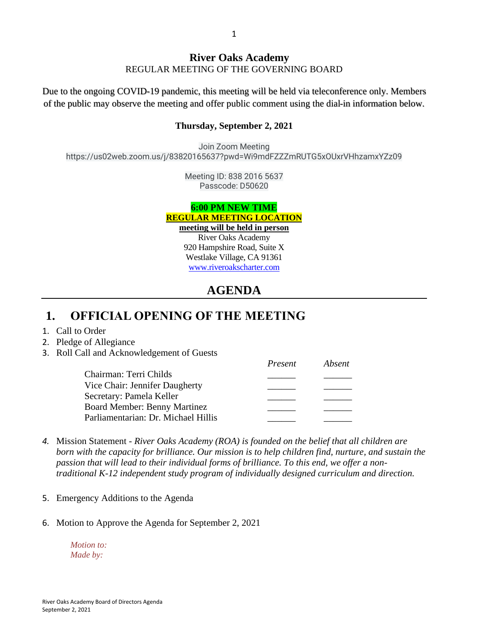#### **River Oaks Academy** REGULAR MEETING OF THE GOVERNING BOARD

Due to the ongoing COVID-19 pandemic, this meeting will be held via teleconference only. Members of the public may observe the meeting and offer public comment using the dial-in information below.

#### **Thursday, September 2, 2021**

Join Zoom Meeting https://us02web.zoom.us/j/83820165637?pwd=Wi9mdFZZZmRUTG5xOUxrVHhzamxYZz09

> Meeting ID: 838 2016 5637 Passcode: D50620

#### **6:00 PM NEW TIME REGULAR MEETING LOCATION meeting will be held in person**

River Oaks Academy 920 Hampshire Road, Suite X Westlake Village, CA 91361 [www.riveroakscharter.com](http://www.riveroakscharter.com/)

### **AGENDA**

### **1. OFFICIAL OPENING OF THE MEETING**

- 1. Call to Order
- 2. Pledge of Allegiance
- 3. Roll Call and Acknowledgement of Guests

|                                     | Present | Absent |
|-------------------------------------|---------|--------|
| Chairman: Terri Childs              |         |        |
| Vice Chair: Jennifer Daugherty      |         |        |
| Secretary: Pamela Keller            |         |        |
| <b>Board Member: Benny Martinez</b> |         |        |
| Parliamentarian: Dr. Michael Hillis |         |        |

- *4.* Mission Statement *River Oaks Academy (ROA) is founded on the belief that all children are born with the capacity for brilliance. Our mission is to help children find, nurture, and sustain the passion that will lead to their individual forms of brilliance. To this end, we offer a nontraditional K-12 independent study program of individually designed curriculum and direction.*
- 5. Emergency Additions to the Agenda
- 6. Motion to Approve the Agenda for September 2, 2021

*Motion to: Made by:*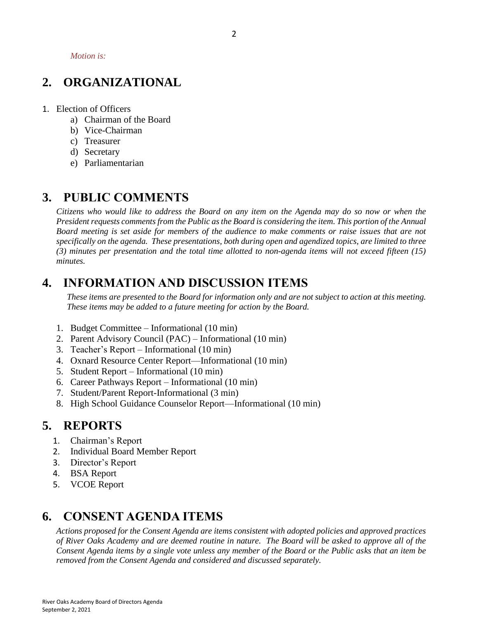*Motion is:*

## **2. ORGANIZATIONAL**

#### 1. Election of Officers

- a) Chairman of the Board
- b) Vice-Chairman
- c) Treasurer
- d) Secretary
- e) Parliamentarian

### **3. PUBLIC COMMENTS**

*Citizens who would like to address the Board on any item on the Agenda may do so now or when the President requests comments from the Public as the Board is considering the item. This portion of the Annual Board meeting is set aside for members of the audience to make comments or raise issues that are not specifically on the agenda. These presentations, both during open and agendized topics, are limited to three (3) minutes per presentation and the total time allotted to non-agenda items will not exceed fifteen (15) minutes.*

## **4. INFORMATION AND DISCUSSION ITEMS**

*These items are presented to the Board for information only and are not subject to action at this meeting. These items may be added to a future meeting for action by the Board.*

- 1. Budget Committee Informational (10 min)
- 2. Parent Advisory Council (PAC) Informational (10 min)
- 3. Teacher's Report Informational (10 min)
- 4. Oxnard Resource Center Report—Informational (10 min)
- 5. Student Report Informational (10 min)
- 6. Career Pathways Report Informational (10 min)
- 7. Student/Parent Report-Informational (3 min)
- 8. High School Guidance Counselor Report—Informational (10 min)

### **5. REPORTS**

- 1. Chairman's Report
- 2. Individual Board Member Report
- 3. Director's Report
- 4. BSA Report
- 5. VCOE Report

## **6. CONSENT AGENDA ITEMS**

*Actions proposed for the Consent Agenda are items consistent with adopted policies and approved practices of River Oaks Academy and are deemed routine in nature. The Board will be asked to approve all of the Consent Agenda items by a single vote unless any member of the Board or the Public asks that an item be removed from the Consent Agenda and considered and discussed separately.*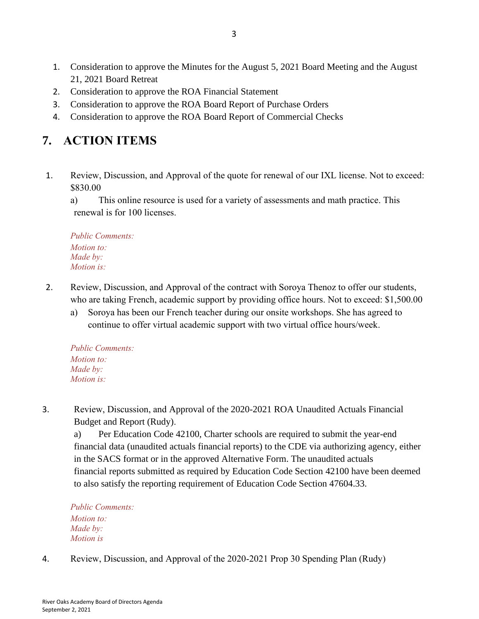- 1. Consideration to approve the Minutes for the August 5, 2021 Board Meeting and the August 21, 2021 Board Retreat
- 2. Consideration to approve the ROA Financial Statement
- 3. Consideration to approve the ROA Board Report of Purchase Orders
- 4. Consideration to approve the ROA Board Report of Commercial Checks

# **7. ACTION ITEMS**

1. Review, Discussion, and Approval of the quote for renewal of our IXL license. Not to exceed: \$830.00

a) This online resource is used for a variety of assessments and math practice. This renewal is for 100 licenses.

*Public Comments: Motion to: Made by: Motion is:*

- 2. Review, Discussion, and Approval of the contract with Soroya Thenoz to offer our students, who are taking French, academic support by providing office hours. Not to exceed: \$1,500.00
	- a) Soroya has been our French teacher during our onsite workshops. She has agreed to continue to offer virtual academic support with two virtual office hours/week.

*Public Comments: Motion to: Made by: Motion is:*

3. Review, Discussion, and Approval of the 2020-2021 ROA Unaudited Actuals Financial Budget and Report (Rudy).

a) Per Education Code 42100, Charter schools are required to submit the year-end financial data (unaudited actuals financial reports) to the CDE via authorizing agency, either in the SACS format or in the approved Alternative Form. The unaudited actuals financial reports submitted as required by Education Code Section 42100 have been deemed to also satisfy the reporting requirement of Education Code Section 47604.33.

*Public Comments: Motion to: Made by: Motion is*

4. Review, Discussion, and Approval of the 2020-2021 Prop 30 Spending Plan (Rudy)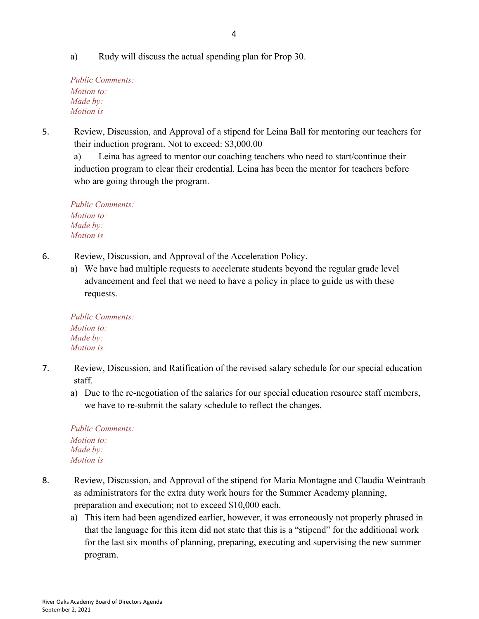a) Rudy will discuss the actual spending plan for Prop 30.

*Public Comments: Motion to: Made by: Motion is*

5. Review, Discussion, and Approval of a stipend for Leina Ball for mentoring our teachers for their induction program. Not to exceed: \$3,000.00

a) Leina has agreed to mentor our coaching teachers who need to start/continue their induction program to clear their credential. Leina has been the mentor for teachers before who are going through the program.

*Public Comments: Motion to: Made by: Motion is*

- 6. Review, Discussion, and Approval of the Acceleration Policy.
	- a) We have had multiple requests to accelerate students beyond the regular grade level advancement and feel that we need to have a policy in place to guide us with these requests.

*Public Comments: Motion to: Made by: Motion is*

- 7. Review, Discussion, and Ratification of the revised salary schedule for our special education staff.
	- a) Due to the re-negotiation of the salaries for our special education resource staff members, we have to re-submit the salary schedule to reflect the changes.

*Public Comments: Motion to: Made by: Motion is*

- 8. Review, Discussion, and Approval of the stipend for Maria Montagne and Claudia Weintraub as administrators for the extra duty work hours for the Summer Academy planning, preparation and execution; not to exceed \$10,000 each.
	- a) This item had been agendized earlier, however, it was erroneously not properly phrased in that the language for this item did not state that this is a "stipend" for the additional work for the last six months of planning, preparing, executing and supervising the new summer program.